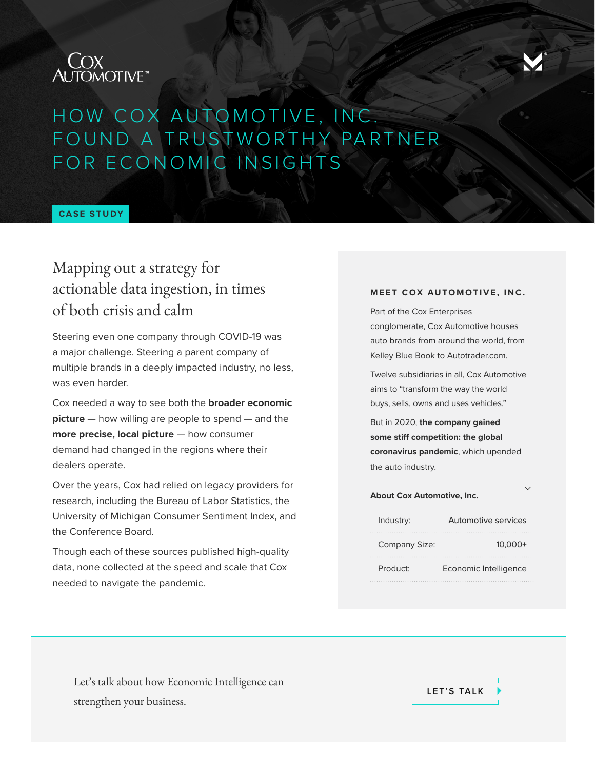



## HOW COX AUTOMOTIVE, INC. FOUND A TRUSTWORTHY PARTNER FOR ECONOMIC INSIGHTS

#### **CASE STUDY**

### Mapping out a strategy for actionable data ingestion, in times of both crisis and calm

Steering even one company through COVID-19 was a major challenge. Steering a parent company of multiple brands in a deeply impacted industry, no less, was even harder.

Cox needed a way to see both the **broader economic picture** — how willing are people to spend — and the **more precise, local picture** — how consumer demand had changed in the regions where their dealers operate.

Over the years, Cox had relied on legacy providers for research, including the Bureau of Labor Statistics, the University of Michigan Consumer Sentiment Index, and the Conference Board.

Though each of these sources published high-quality data, none collected at the speed and scale that Cox needed to navigate the pandemic.

#### **MEET COX AUTOMOTIVE, INC.**

Part of the Cox Enterprises conglomerate, Cox Automotive houses auto brands from around the world, from Kelley Blue Book to Autotrader.com.

Twelve subsidiaries in all, Cox Automotive aims to "transform the way the world buys, sells, owns and uses vehicles."

But in 2020, **the company gained some stiff competition: the global coronavirus pandemic**, which upended the auto industry.

# **About Cox Automotive, Inc.**

| $10.000+$             |
|-----------------------|
| Economic Intelligence |
|                       |

Let's talk about how Economic Intelligence can strengthen your business.

**[LET'S TALK](https://info.morningconsult.com/request-a-demo)**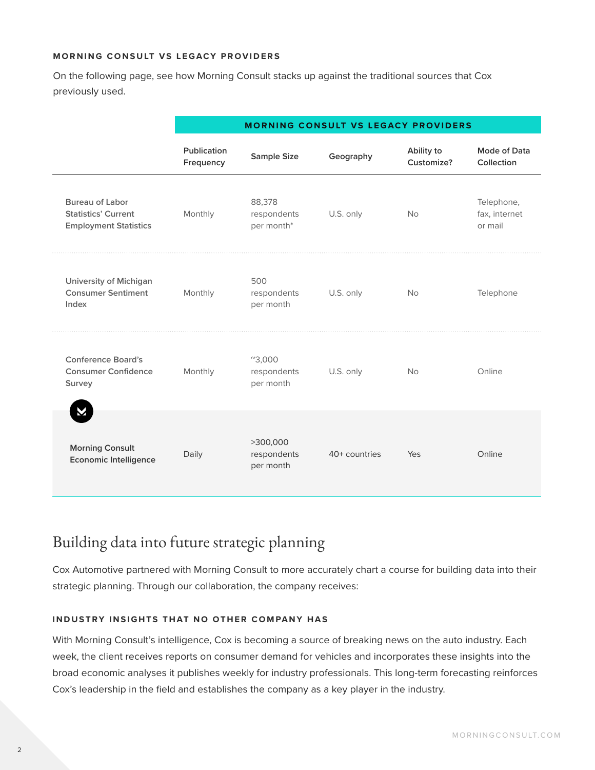#### **MORNING CONSULT VS LEGACY PROVIDERS**

On the following page, see how Morning Consult stacks up against the traditional sources that Cox previously used.

|                                                                                      | <b>MORNING CONSULT VS LEGACY PROVIDERS</b> |                                                    |               |                          |                                        |  |
|--------------------------------------------------------------------------------------|--------------------------------------------|----------------------------------------------------|---------------|--------------------------|----------------------------------------|--|
|                                                                                      | Publication<br>Frequency                   | <b>Sample Size</b>                                 | Geography     | Ability to<br>Customize? | Mode of Data<br>Collection             |  |
| <b>Bureau of Labor</b><br><b>Statistics' Current</b><br><b>Employment Statistics</b> | Monthly                                    | 88,378<br>respondents<br>per month*                | U.S. only     | <b>No</b>                | Telephone,<br>fax, internet<br>or mail |  |
| <b>University of Michigan</b><br><b>Consumer Sentiment</b><br>Index                  | Monthly                                    | 500<br>respondents<br>per month                    | U.S. only     | <b>No</b>                | Telephone                              |  |
| <b>Conference Board's</b><br><b>Consumer Confidence</b><br>Survey                    | Monthly                                    | $^{\prime\prime}3,000$<br>respondents<br>per month | U.S. only     | <b>No</b>                | Online                                 |  |
| М<br><b>Morning Consult</b><br><b>Economic Intelligence</b>                          | Daily                                      | >300,000<br>respondents<br>per month               | 40+ countries | Yes                      | Online                                 |  |

### Building data into future strategic planning

Cox Automotive partnered with Morning Consult to more accurately chart a course for building data into their strategic planning. Through our collaboration, the company receives:

#### **INDUSTRY INSIGHTS THAT NO OTHER COMPANY HAS**

With Morning Consult's intelligence, Cox is becoming a source of breaking news on the auto industry. Each week, the client receives reports on consumer demand for vehicles and incorporates these insights into the broad economic analyses it publishes weekly for industry professionals. This long-term forecasting reinforces Cox's leadership in the field and establishes the company as a key player in the industry.